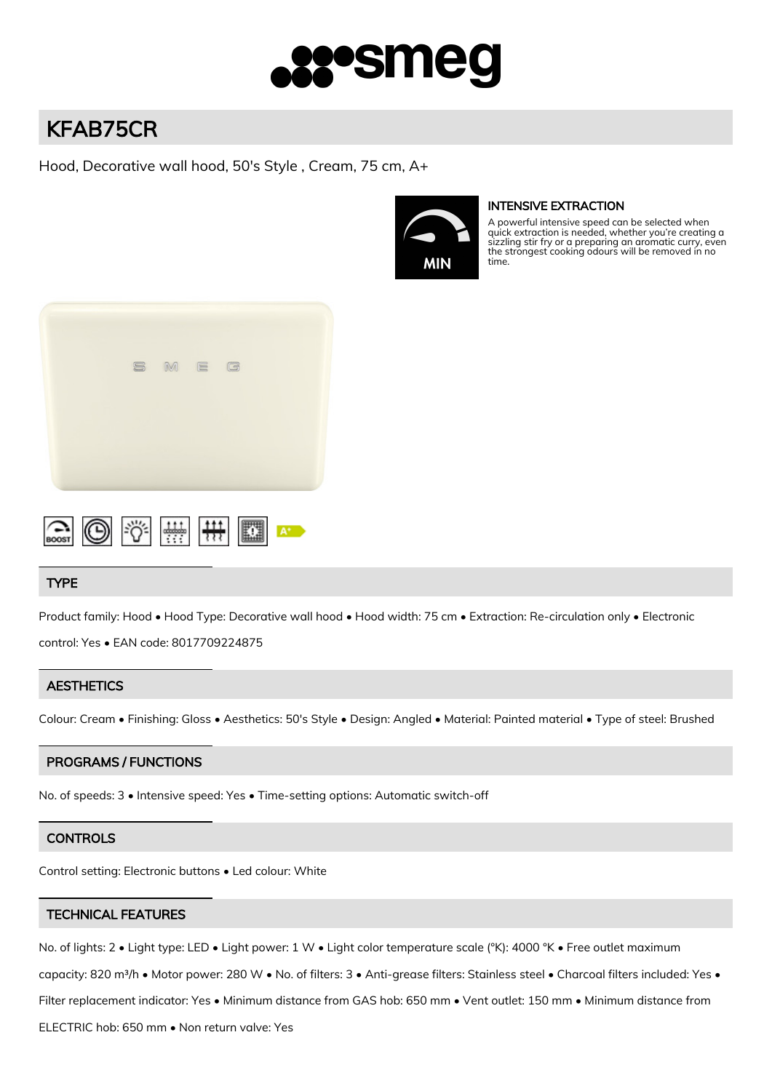

# KFAB75CR

Hood, Decorative wall hood, 50's Style , Cream, 75 cm, A+



# INTENSIVE EXTRACTION

A powerful intensive speed can be selected when quick extraction is needed, whether you're creating a sizzling stir fry or a preparing an aromatic curry, even the strongest cooking odours will be removed in no time.





# TYPE

Product family: Hood • Hood Type: Decorative wall hood • Hood width: 75 cm • Extraction: Re-circulation only • Electronic

control: Yes • EAN code: 8017709224875

# **AESTHETICS**

Colour: Cream • Finishing: Gloss • Aesthetics: 50's Style • Design: Angled • Material: Painted material • Type of steel: Brushed

# PROGRAMS / FUNCTIONS

No. of speeds: 3 • Intensive speed: Yes • Time-setting options: Automatic switch-off

# **CONTROLS**

Control setting: Electronic buttons • Led colour: White

# TECHNICAL FEATURES

No. of lights: 2 • Light type: LED • Light power: 1 W • Light color temperature scale (°K): 4000 °K • Free outlet maximum

capacity: 820 m<sup>3</sup>/h • Motor power: 280 W • No. of filters: 3 • Anti-grease filters: Stainless steel • Charcoal filters included: Yes •

Filter replacement indicator: Yes • Minimum distance from GAS hob: 650 mm • Vent outlet: 150 mm • Minimum distance from

ELECTRIC hob: 650 mm • Non return valve: Yes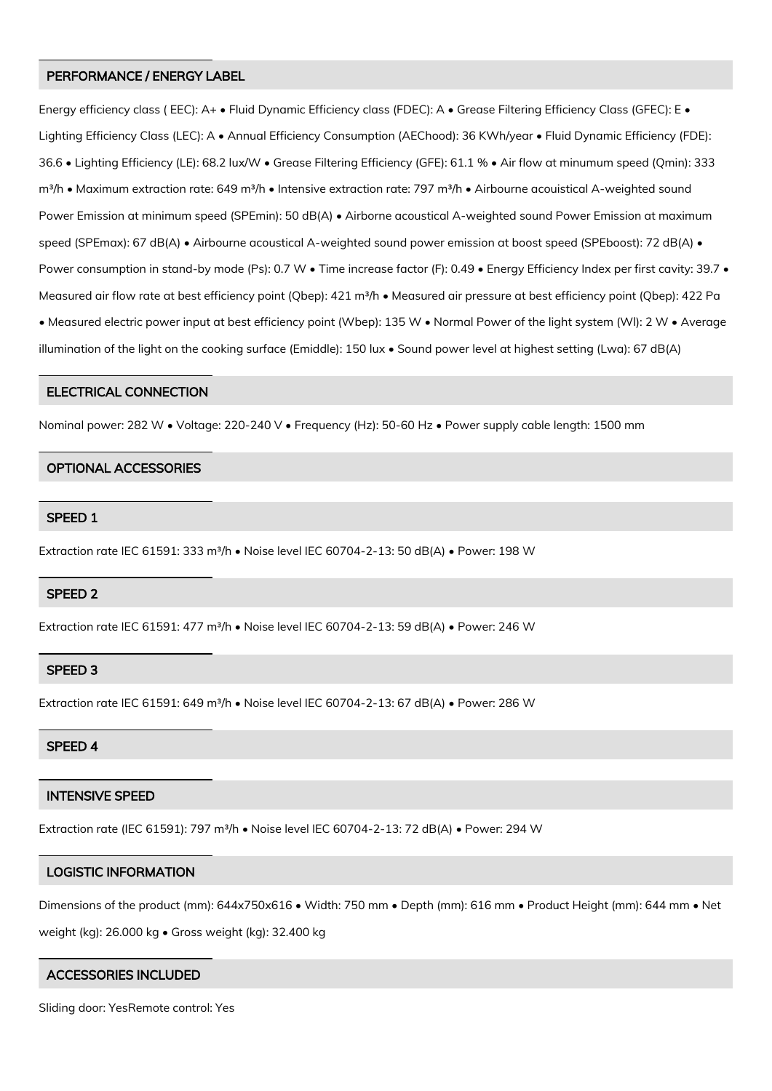## PERFORMANCE / ENERGY LABEL

Energy efficiency class ( EEC): A+ • Fluid Dynamic Efficiency class (FDEC): A • Grease Filtering Efficiency Class (GFEC): E • Lighting Efficiency Class (LEC): A • Annual Efficiency Consumption (AEChood): 36 KWh/year • Fluid Dynamic Efficiency (FDE): 36.6 • Lighting Efficiency (LE): 68.2 lux/W • Grease Filtering Efficiency (GFE): 61.1 % • Air flow at minumum speed (Qmin): 333 m<sup>3</sup>/h • Maximum extraction rate: 649 m<sup>3</sup>/h • Intensive extraction rate: 797 m<sup>3</sup>/h • Airbourne acouistical A-weighted sound Power Emission at minimum speed (SPEmin): 50 dB(A) • Airborne acoustical A-weighted sound Power Emission at maximum speed (SPEmax): 67 dB(A) • Airbourne acoustical A-weighted sound power emission at boost speed (SPEboost): 72 dB(A) • Power consumption in stand-by mode (Ps): 0.7 W • Time increase factor (F): 0.49 • Energy Efficiency Index per first cavity: 39.7 • Measured air flow rate at best efficiency point (Qbep): 421 m<sup>3</sup>/h • Measured air pressure at best efficiency point (Qbep): 422 Pa • Measured electric power input at best efficiency point (Wbep): 135 W • Normal Power of the light system (Wl): 2 W • Average illumination of the light on the cooking surface (Emiddle): 150 lux • Sound power level at highest setting (Lwa): 67 dB(A)

#### ELECTRICAL CONNECTION

Nominal power: 282 W • Voltage: 220-240 V • Frequency (Hz): 50-60 Hz • Power supply cable length: 1500 mm

#### OPTIONAL ACCESSORIES

## SPEED 1

Extraction rate IEC 61591: 333 m<sup>3</sup>/h · Noise level IEC 60704-2-13: 50 dB(A) · Power: 198 W

## SPEED 2

Extraction rate IEC 61591: 477 m<sup>3</sup>/h · Noise level IEC 60704-2-13: 59 dB(A) · Power: 246 W

## SPEED 3

Extraction rate IEC 61591: 649 m<sup>3</sup>/h · Noise level IEC 60704-2-13: 67 dB(A) · Power: 286 W

## SPEED 4

## INTENSIVE SPEED

Extraction rate (IEC 61591): 797 m<sup>3</sup>/h · Noise level IEC 60704-2-13: 72 dB(A) · Power: 294 W

# LOGISTIC INFORMATION

Dimensions of the product (mm): 644x750x616 • Width: 750 mm • Depth (mm): 616 mm • Product Height (mm): 644 mm • Net weight (kg): 26.000 kg • Gross weight (kg): 32.400 kg

# ACCESSORIES INCLUDED

Sliding door: YesRemote control: Yes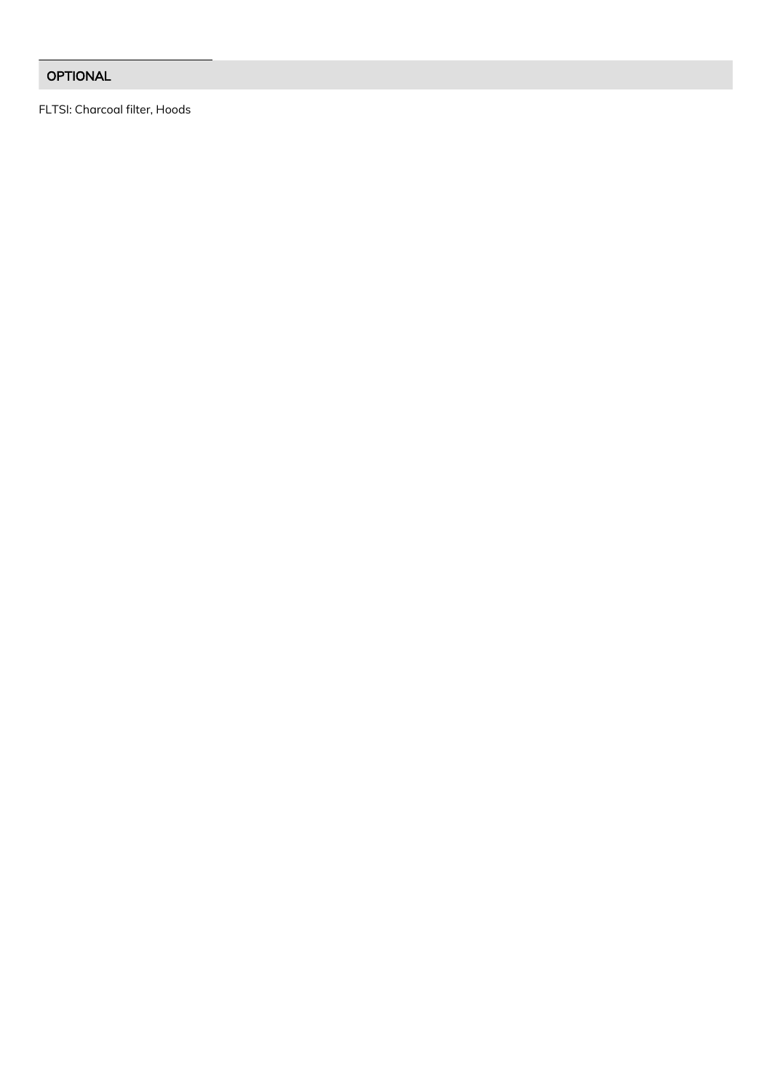# **OPTIONAL**

FLTSI: Charcoal filter, Hoods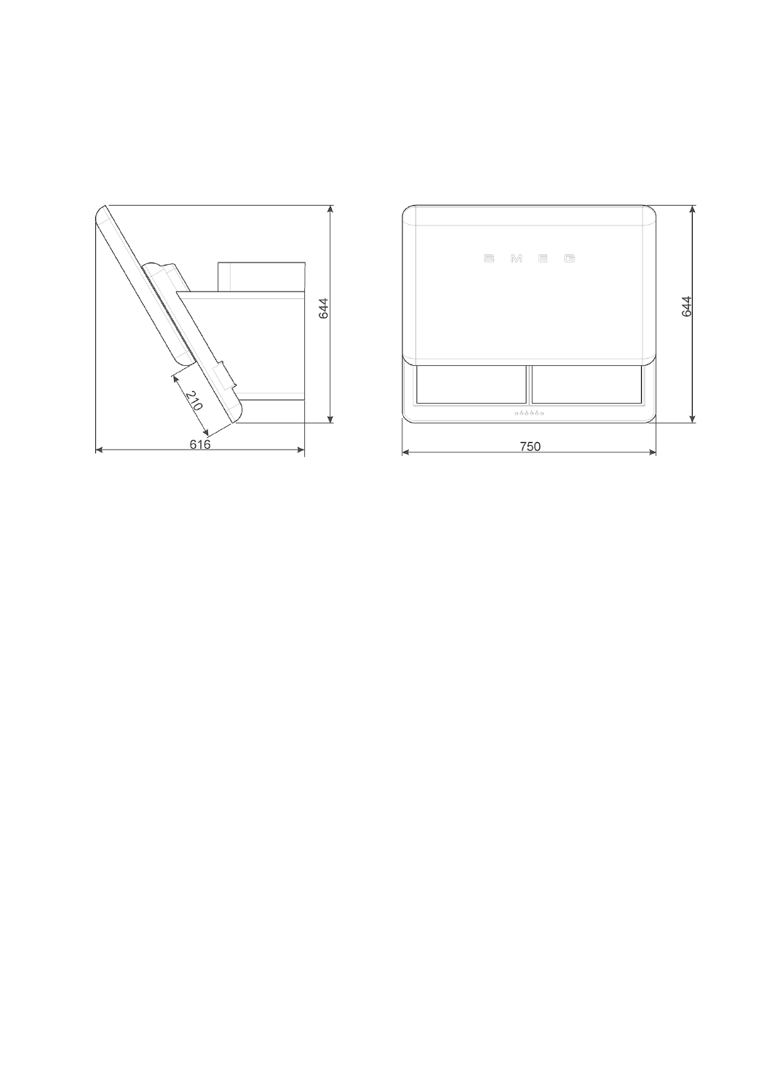